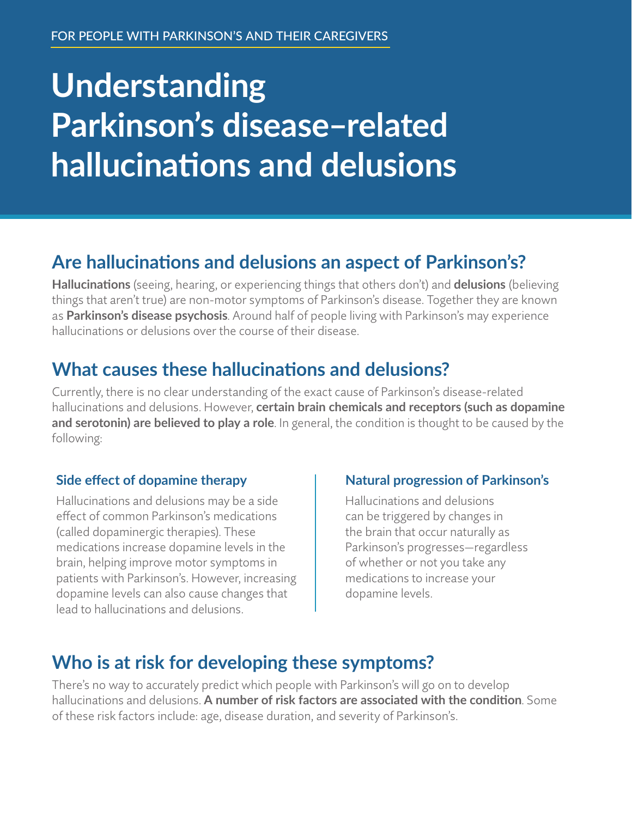# **Understanding Parkinson's disease–related hallucinations and delusions**

## **Are hallucinations and delusions an aspect of Parkinson's?**

**Hallucinations** (seeing, hearing, or experiencing things that others don't) and **delusions** (believing things that aren't true) are non-motor symptoms of Parkinson's disease. Together they are known as **Parkinson's disease psychosis**. Around half of people living with Parkinson's may experience hallucinations or delusions over the course of their disease.

## **What causes these hallucinations and delusions?**

Currently, there is no clear understanding of the exact cause of Parkinson's disease-related hallucinations and delusions. However, **certain brain chemicals and receptors (such as dopamine and serotonin) are believed to play a role**. In general, the condition is thought to be caused by the following:

#### **Side effect of dopamine therapy**

Hallucinations and delusions may be a side effect of common Parkinson's medications (called dopaminergic therapies). These medications increase dopamine levels in the brain, helping improve motor symptoms in patients with Parkinson's. However, increasing dopamine levels can also cause changes that lead to hallucinations and delusions.

#### **Natural progression of Parkinson's**

Hallucinations and delusions can be triggered by changes in the brain that occur naturally as Parkinson's progresses—regardless of whether or not you take any medications to increase your dopamine levels.

## **Who is at risk for developing these symptoms?**

There's no way to accurately predict which people with Parkinson's will go on to develop hallucinations and delusions. **A number of risk factors are associated with the condition**. Some of these risk factors include: age, disease duration, and severity of Parkinson's.